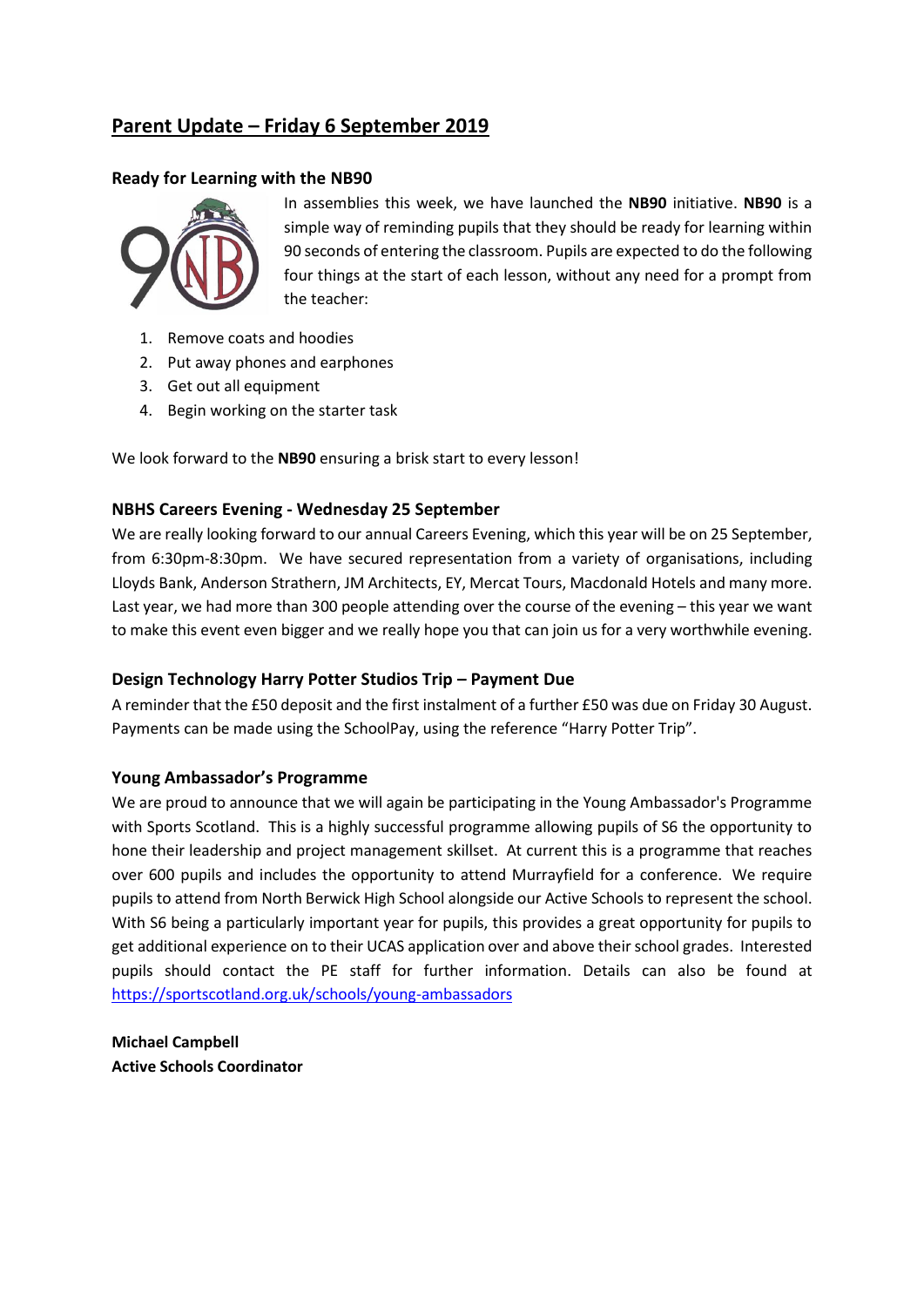# **Parent Update – Friday 6 September 2019**

## **Ready for Learning with the NB90**



In assemblies this week, we have launched the **NB90** initiative. **NB90** is a simple way of reminding pupils that they should be ready for learning within 90 seconds of entering the classroom. Pupils are expected to do the following four things at the start of each lesson, without any need for a prompt from the teacher:

- 1. Remove coats and hoodies
- 2. Put away phones and earphones
- 3. Get out all equipment
- 4. Begin working on the starter task

We look forward to the **NB90** ensuring a brisk start to every lesson!

# **NBHS Careers Evening - Wednesday 25 September**

We are really looking forward to our annual Careers Evening, which this year will be on 25 September, from 6:30pm-8:30pm. We have secured representation from a variety of organisations, including Lloyds Bank, Anderson Strathern, JM Architects, EY, Mercat Tours, Macdonald Hotels and many more. Last year, we had more than 300 people attending over the course of the evening – this year we want to make this event even bigger and we really hope you that can join us for a very worthwhile evening.

### **Design Technology Harry Potter Studios Trip – Payment Due**

A reminder that the £50 deposit and the first instalment of a further £50 was due on Friday 30 August. Payments can be made using the SchoolPay, using the reference "Harry Potter Trip".

### **Young Ambassador's Programme**

We are proud to announce that we will again be participating in the Young Ambassador's Programme with Sports Scotland. This is a highly successful programme allowing pupils of S6 the opportunity to hone their leadership and project management skillset. At current this is a programme that reaches over 600 pupils and includes the opportunity to attend Murrayfield for a conference. We require pupils to attend from North Berwick High School alongside our Active Schools to represent the school. With S6 being a particularly important year for pupils, this provides a great opportunity for pupils to get additional experience on to their UCAS application over and above their school grades. Interested pupils should contact the PE staff for further information. Details can also be found at <https://sportscotland.org.uk/schools/young-ambassadors>

**Michael Campbell Active Schools Coordinator**